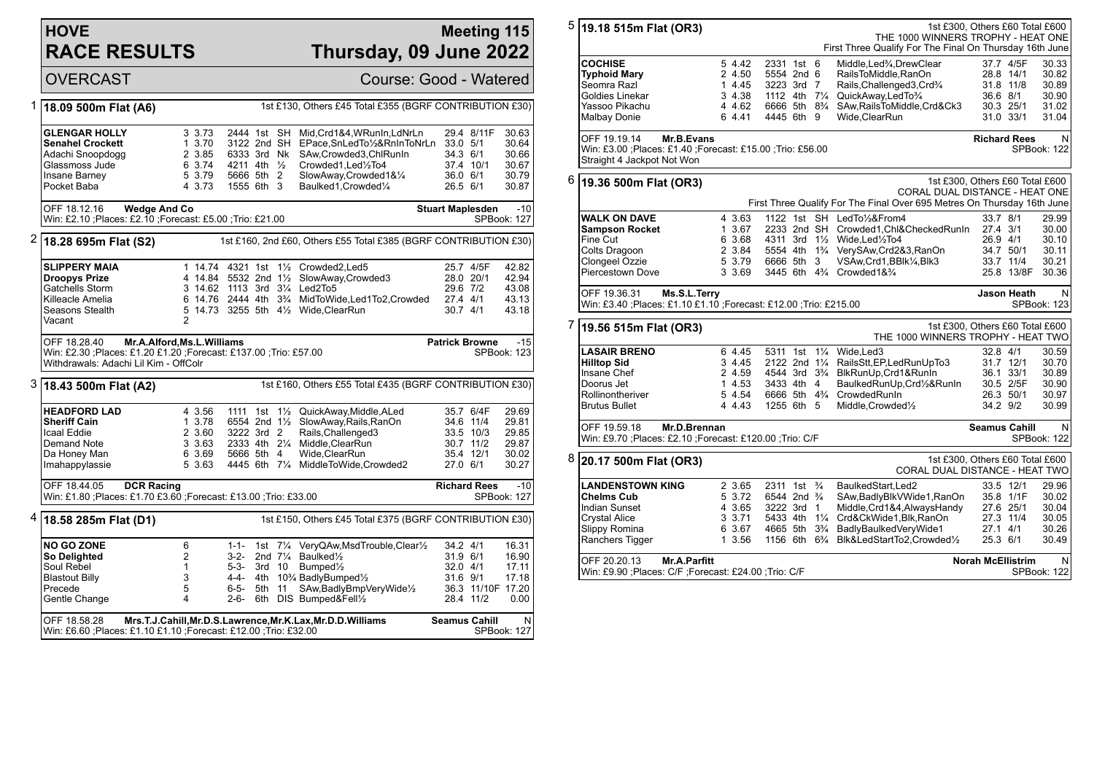## **HOVE RACE RESULTS**

## **Meeting 115 Thursday, 09 June 2022**

OVERCAST Course: Good - Watered

| 1 | 18.09 500m Flat (A6)                                                                                    |                   | 1st £130, Others £45 Total £355 (BGRF CONTRIBUTION £30) |        |  |                                                                              |                         |                              |                          |  |
|---|---------------------------------------------------------------------------------------------------------|-------------------|---------------------------------------------------------|--------|--|------------------------------------------------------------------------------|-------------------------|------------------------------|--------------------------|--|
|   |                                                                                                         |                   |                                                         |        |  |                                                                              |                         |                              |                          |  |
|   | <b>GLENGAR HOLLY</b>                                                                                    | 3 3.73            | 2444 1st SH                                             |        |  | Mid, Crd1&4, WRunIn, LdNrLn                                                  |                         | 29.4 8/11F                   | 30.63                    |  |
|   | <b>Senahel Crockett</b>                                                                                 | 1, 3.70<br>2 3.85 | 3122 2nd SH<br>6333 3rd Nk                              |        |  | EPace, SnLedTo1/2&RnInToNrLn 33.0 5/1<br>SAw,Crowded3,ChlRunIn               | 34.3 6/1                |                              | 30.64<br>30.66           |  |
|   | Adachi Snoopdogg<br>Glassmoss Jude                                                                      | 6 3.74            | 4211 4th 1/ <sub>2</sub>                                |        |  | Crowded1, Led1/2To4                                                          |                         | 37.4 10/1                    | 30.67                    |  |
|   | Insane Barney                                                                                           | 5 3.79            | 5666 5th 2                                              |        |  | SlowAway,Crowded1&1/4                                                        | 36.0 6/1                |                              | 30.79                    |  |
|   | Pocket Baba                                                                                             | 4 3.73            | 1555 6th 3                                              |        |  | Baulked1, Crowded1/4                                                         | 26.5 6/1                |                              | 30.87                    |  |
|   |                                                                                                         |                   |                                                         |        |  |                                                                              |                         |                              |                          |  |
|   | OFF 18.12.16<br><b>Wedge And Co</b>                                                                     |                   |                                                         |        |  |                                                                              | <b>Stuart Maplesden</b> |                              | $-10$                    |  |
|   | Win: £2.10 ; Places: £2.10 ; Forecast: £5.00 ; Trio: £21.00                                             |                   |                                                         |        |  |                                                                              |                         |                              | SPBook: 127              |  |
|   | $2$ 18.28 695m Flat (S2)                                                                                |                   |                                                         |        |  | 1st £160, 2nd £60, Others £55 Total £385 (BGRF CONTRIBUTION £30)             |                         |                              |                          |  |
|   | <b>SLIPPERY MAIA</b>                                                                                    |                   |                                                         |        |  | 1 14.74 4321 1st 11/2 Crowded2, Led5                                         |                         | 25.7 4/5F                    | 42.82                    |  |
|   | <b>Droopys Prize</b>                                                                                    |                   |                                                         |        |  | 4 14.84 5532 2nd 11/2 SlowAway, Crowded 3                                    |                         | 28.0 20/1                    | 42.94                    |  |
|   | Gatchells Storm                                                                                         |                   |                                                         |        |  | 3 14.62 1113 3rd 31/4 Led2To5                                                | 29.6 7/2                |                              | 43.08                    |  |
|   | Killeacle Amelia                                                                                        |                   |                                                         |        |  | 6 14.76 2444 4th 3 <sup>3</sup> / <sub>4</sub> MidToWide, Led 1To 2, Crowded | 27.4 4/1                |                              | 43.13                    |  |
|   | Seasons Stealth                                                                                         |                   |                                                         |        |  | 5 14.73 3255 5th 41/2 Wide, ClearRun                                         | $30.7$ 4/1              |                              | 43.18                    |  |
|   | Vacant                                                                                                  | $\overline{2}$    |                                                         |        |  |                                                                              |                         |                              |                          |  |
|   | OFF 18.28.40<br>Mr.A.Alford, Ms.L.Williams                                                              |                   |                                                         |        |  |                                                                              |                         | <b>Patrick Browne</b><br>-15 |                          |  |
|   | Win: £2.30 ; Places: £1.20 £1.20 ; Forecast: £137.00 ; Trio: £57.00                                     |                   |                                                         |        |  |                                                                              |                         |                              | <b>SPBook: 123</b>       |  |
|   | Withdrawals: Adachi Lil Kim - OffColr                                                                   |                   |                                                         |        |  |                                                                              |                         |                              |                          |  |
|   | 3 18.43 500m Flat (A2)                                                                                  |                   |                                                         |        |  | 1st £160, Others £55 Total £435 (BGRF CONTRIBUTION £30)                      |                         |                              |                          |  |
|   | <b>HEADFORD LAD</b>                                                                                     | 4 3.56            |                                                         |        |  | 1111 1st 11/2 QuickAway, Middle, ALed                                        |                         | 35.7 6/4F                    | 29.69                    |  |
|   | <b>Sheriff Cain</b>                                                                                     | 1 3.78            |                                                         |        |  | 6554 2nd 11/2 SlowAway, Rails, RanOn                                         |                         | 34.6 11/4                    | 29.81                    |  |
|   | Icaal Eddie                                                                                             | 2 3.60            | 3222 3rd 2                                              |        |  | Rails, Challenged3                                                           |                         | 33.5 10/3                    | 29.85                    |  |
|   | Demand Note                                                                                             | 3 3.63            |                                                         |        |  | 2333 4th 21/4 Middle, ClearRun                                               |                         | 30.7 11/2                    | 29.87                    |  |
|   | Da Honey Man                                                                                            | 6 3.69            | 5666 5th 4                                              |        |  | Wide, ClearRun                                                               |                         | 35.4 12/1                    | 30.02                    |  |
|   | Imahappylassie                                                                                          | 5 3.63            |                                                         |        |  | 4445 6th 71/4 MiddleToWide, Crowded 2                                        | 27.0 6/1                |                              | 30.27                    |  |
|   | OFF 18.44.05<br><b>DCR Racing</b><br>Win: £1.80 ; Places: £1.70 £3.60 ; Forecast: £13.00 ; Trio: £33.00 |                   |                                                         |        |  |                                                                              |                         | <b>Richard Rees</b>          | $-10$<br>SPBook: 127     |  |
| 4 | 18.58 285m Flat (D1)                                                                                    |                   |                                                         |        |  | 1st £150, Others £45 Total £375 (BGRF CONTRIBUTION £30)                      |                         |                              |                          |  |
|   | <b>NO GO ZONE</b>                                                                                       | 6                 |                                                         |        |  | 1-1- 1st 71/4 VeryQAw,MsdTrouble,Clear1/2                                    | 34.2 4/1                |                              | 16.31                    |  |
|   | So Delighted                                                                                            | $\overline{2}$    | 3-2-                                                    |        |  | 2nd $7\frac{1}{4}$ Baulked $\frac{1}{2}$                                     | 31.9 6/1                |                              | 16.90                    |  |
|   | Soul Rebel                                                                                              | $\mathbf{1}$      | 5-3-                                                    | 3rd 10 |  | Bumped <sup>1/2</sup>                                                        | 32.0 4/1                |                              | 17.11                    |  |
|   | <b>Blastout Billy</b>                                                                                   | 3                 |                                                         |        |  | 4-4- 4th 10% BadlyBumped1/2                                                  | 31.6 9/1                |                              | 17.18                    |  |
|   | Precede                                                                                                 | 5                 | 6-5-                                                    | 5th 11 |  | SAw, Badly BmpVery Wide <sup>1</sup> / <sub>2</sub>                          |                         | 36.3 11/10F 17.20            |                          |  |
|   | Gentle Change                                                                                           | 4                 | 2-6-                                                    |        |  | 6th DIS Bumped&Fell1/2                                                       |                         | 28.4 11/2                    | 0.00                     |  |
|   | OFF 18.58.28<br>Win: £6.60 ; Places: £1.10 £1.10 ; Forecast: £12.00 ; Trio: £32.00                      |                   |                                                         |        |  | Mrs.T.J.Cahill, Mr.D.S.Lawrence, Mr.K.Lax, Mr.D.D. Williams                  | <b>Seamus Cahill</b>    |                              | ${\sf N}$<br>SPBook: 127 |  |

| 5                                                             | 19.18 515m Flat (OR3)                                                                   |        |        |                                        |  |                | 1st £300, Others £60 Total £600<br>THE 1000 WINNERS TROPHY - HEAT ONE<br>First Three Qualify For The Final On Thursday 16th June |                          |            |             |
|---------------------------------------------------------------|-----------------------------------------------------------------------------------------|--------|--------|----------------------------------------|--|----------------|----------------------------------------------------------------------------------------------------------------------------------|--------------------------|------------|-------------|
|                                                               |                                                                                         |        |        |                                        |  |                |                                                                                                                                  |                          |            |             |
|                                                               | COCHISE                                                                                 |        | 5 4.42 | 2331 1st 6                             |  |                | Middle, Led <sup>3</sup> / <sub>4</sub> , Drew Clear                                                                             |                          | 37.7 4/5F  | 30.33       |
|                                                               | <b>Typhoid Mary</b>                                                                     |        | 2 4.50 | 5554 2nd 6                             |  |                | RailsToMiddle, RanOn                                                                                                             | 28.8 14/1                |            | 30.82       |
|                                                               | Seomra Razl                                                                             |        | 1 4.45 | 3223 3rd 7                             |  |                | Rails, Challenged 3, Crd <sup>3</sup> / <sub>4</sub>                                                                             | 31.8 11/8                |            | 30.89       |
|                                                               | Goldies Linekar                                                                         |        | 3 4.38 | 1112 4th 71/4                          |  |                | QuickAway,LedTo3/4                                                                                                               | 36.6 8/1                 |            | 30.90       |
|                                                               | Yassoo Pikachu                                                                          |        | 4 4.62 | 6666 5th 8 <sup>3</sup> / <sub>4</sub> |  |                | SAw, Rails To Middle, Crd&Ck3                                                                                                    | 30.3 25/1                |            | 31.02       |
|                                                               |                                                                                         |        | 6 4.41 | 4445 6th 9                             |  |                | Wide, ClearRun                                                                                                                   | 31.0 33/1                |            | 31.04       |
|                                                               | Malbay Donie                                                                            |        |        |                                        |  |                |                                                                                                                                  |                          |            |             |
|                                                               | OFF 19.19.14<br>Mr.B.Evans                                                              |        |        |                                        |  |                |                                                                                                                                  | <b>Richard Rees</b>      |            | N           |
|                                                               | Win: £3.00 ;Places: £1.40 ;Forecast: £15.00 ;Trio: £56.00<br>Straight 4 Jackpot Not Won |        |        |                                        |  |                |                                                                                                                                  |                          |            | SPBook: 122 |
|                                                               |                                                                                         |        |        |                                        |  |                |                                                                                                                                  |                          |            |             |
| 6                                                             | 19.36 500m Flat (OR3)                                                                   |        |        |                                        |  |                | 1st £300, Others £60 Total £600                                                                                                  |                          |            |             |
|                                                               |                                                                                         |        |        |                                        |  |                | CORAL DUAL DISTANCE - HEAT ONE                                                                                                   |                          |            |             |
|                                                               |                                                                                         |        |        |                                        |  |                | First Three Qualify For The Final Over 695 Metres On Thursday 16th June                                                          |                          |            |             |
|                                                               | <b>WALK ON DAVE</b>                                                                     |        | 4 3.63 |                                        |  |                | 1122 1st SH LedTo1/2&From4                                                                                                       | 33.7 8/1                 |            | 29.99       |
|                                                               | <b>Sampson Rocket</b>                                                                   |        | 1 3.67 |                                        |  |                | 2233 2nd SH Crowded1, Chl&Checked RunIn                                                                                          | 27.4 3/1                 |            | 30.00       |
|                                                               | Fine Cut                                                                                |        | 6 3.68 |                                        |  |                | 4311 3rd 11/2 Wide, Led 1/2 To 4                                                                                                 | 26.9 4/1                 |            | 30.10       |
|                                                               |                                                                                         |        |        |                                        |  |                |                                                                                                                                  |                          |            |             |
|                                                               | Colts Dragoon                                                                           |        | 2 3.84 |                                        |  |                | 5554 4th 1 <sup>3</sup> / <sub>4</sub> VerySAw, Crd2&3, RanOn                                                                    | 34.7 50/1                |            | 30.11       |
|                                                               | Clongeel Ozzie                                                                          |        | 5 3.79 | 6666 5th 3                             |  |                | VSAw, Crd1, BBIk <sup>1</sup> / <sub>4</sub> , Blk3                                                                              | 33.7 11/4                |            | 30.21       |
|                                                               | Piercestown Dove                                                                        |        | 3 3.69 |                                        |  |                | 3445 6th 4 <sup>3</sup> / <sub>4</sub> Crowded1& <sup>3</sup> / <sub>4</sub>                                                     |                          | 25.8 13/8F | 30.36       |
|                                                               | OFF 19.36.31<br>Ms.S.L.Terry<br><b>Jason Heath</b>                                      |        |        |                                        |  |                |                                                                                                                                  |                          |            | N           |
|                                                               | Win: £3.40 ;Places: £1.10 £1.10 ;Forecast: £12.00 ;Trio: £215.00                        |        |        |                                        |  |                |                                                                                                                                  |                          |            | SPBook: 123 |
|                                                               |                                                                                         |        |        |                                        |  |                |                                                                                                                                  |                          |            |             |
| 7<br>1st £300, Others £60 Total £600<br>19.56 515m Flat (OR3) |                                                                                         |        |        |                                        |  |                |                                                                                                                                  |                          |            |             |
|                                                               |                                                                                         |        |        |                                        |  |                | THE 1000 WINNERS TROPHY - HEAT TWO                                                                                               |                          |            |             |
|                                                               | <b>LASAIR BRENO</b>                                                                     |        | 6 4.45 | 5311 1st 11/4                          |  |                | Wide.Led3                                                                                                                        | 32.8 4/1                 |            | 30.59       |
|                                                               | <b>Hilltop Sid</b>                                                                      |        | 3 4.45 | $2122$ 2nd $1\frac{1}{4}$              |  |                | RailsStt, EP, Led Run Up To 3                                                                                                    | 31.7 12/1                |            | 30.70       |
|                                                               | Insane Chef                                                                             |        | 2 4.59 | 4544 3rd 3 <sup>3</sup> / <sub>4</sub> |  |                | BlkRunUp, Crd1&RunIn                                                                                                             | 36.1 33/1                |            | 30.89       |
|                                                               | Doorus Jet                                                                              |        | 1 4.53 | 3433 4th 4                             |  |                | BaulkedRunUp,Crd1/2&RunIn                                                                                                        | 30.5 2/5F                |            | 30.90       |
|                                                               | Rollinontheriver                                                                        |        | 5 4.54 |                                        |  |                | 6666 5th 4 <sup>3</sup> / <sub>4</sub> CrowdedRunIn                                                                              | 26.3 50/1                |            | 30.97       |
|                                                               |                                                                                         |        | 4 4.43 |                                        |  |                |                                                                                                                                  |                          |            |             |
|                                                               | <b>Brutus Bullet</b>                                                                    |        |        | 1255 6th 5                             |  |                | Middle, Crowded <sup>1</sup> / <sub>2</sub>                                                                                      | 34.2 9/2                 |            | 30.99       |
|                                                               | OFF 19.59.18<br>Mr.D.Brennan                                                            |        |        |                                        |  |                |                                                                                                                                  | <b>Seamus Cahill</b>     |            | N           |
|                                                               | Win: £9.70 ;Places: £2.10 ;Forecast: £120.00 ;Trio: C/F                                 |        |        |                                        |  |                |                                                                                                                                  |                          |            | SPBook: 122 |
| 8                                                             | 20.17 500m Flat (OR3)                                                                   |        |        |                                        |  |                | 1st £300, Others £60 Total £600                                                                                                  |                          |            |             |
|                                                               |                                                                                         |        |        |                                        |  |                | CORAL DUAL DISTANCE - HEAT TWO                                                                                                   |                          |            |             |
|                                                               | <b>LANDENSTOWN KING</b>                                                                 |        | 2 3.65 | 2311 1st <sup>3</sup> / <sub>4</sub>   |  |                | BaulkedStart.Led2                                                                                                                | 33.5 12/1                |            | 29.96       |
|                                                               |                                                                                         |        |        | 6544 2nd <sup>3</sup> / <sub>4</sub>   |  |                | SAw, Badly Blk V Wide 1, RanOn                                                                                                   | 35.8 1/1F                |            | 30.02       |
|                                                               |                                                                                         |        |        |                                        |  |                |                                                                                                                                  |                          |            |             |
|                                                               | Chelms Cub                                                                              | 5 3.72 |        |                                        |  |                |                                                                                                                                  |                          |            |             |
|                                                               | <b>Indian Sunset</b>                                                                    |        | 4 3.65 | 3222 3rd 1                             |  |                | Middle, Crd1&4, Always Handy                                                                                                     |                          | 27.6 25/1  | 30.04       |
|                                                               | <b>Crystal Alice</b>                                                                    |        | 3 3.71 | 5433 4th                               |  | $1\frac{1}{4}$ | Crd&CkWide1,Blk,RanOn                                                                                                            | 27.3 11/4                |            | 30.05       |
|                                                               | Slippy Romina                                                                           |        | 6 3.67 | 4665 5th                               |  | $3\frac{3}{4}$ | BadlyBaulkedVeryWide1                                                                                                            | $27.1$ 4/1               |            | 30.26       |
|                                                               | Ranchers Tigger                                                                         |        | 1 3.56 | 1156 6th 6 <sup>3</sup> / <sub>4</sub> |  |                | Blk&LedStartTo2,Crowded1/2                                                                                                       | 25.3 6/1                 |            | 30.49       |
|                                                               | OFF 20.20.13<br><b>Mr.A.Parfitt</b>                                                     |        |        |                                        |  |                |                                                                                                                                  | <b>Norah McEllistrim</b> |            | N           |